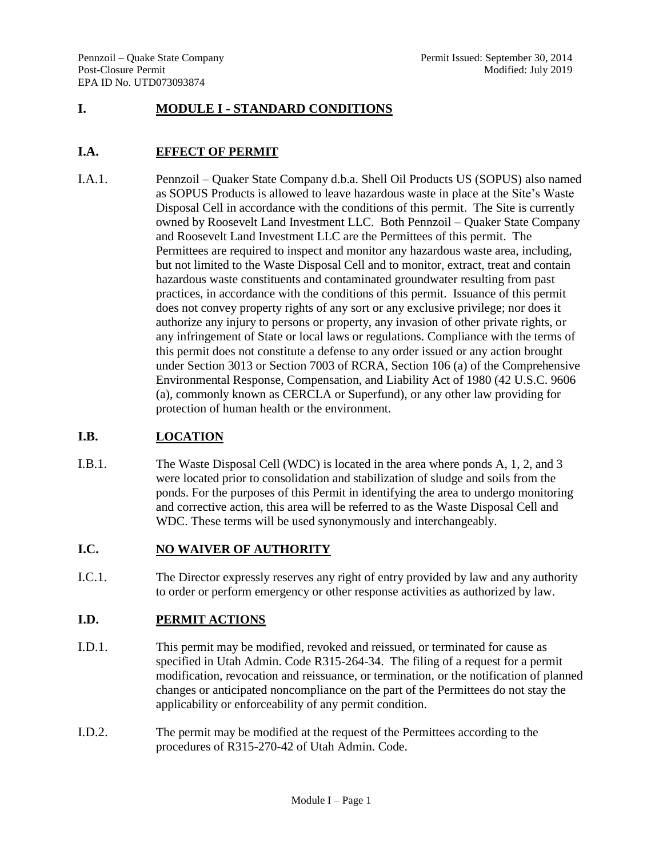## **I. MODULE I - STANDARD CONDITIONS**

## **I.A. EFFECT OF PERMIT**

I.A.1. Pennzoil – Quaker State Company d.b.a. Shell Oil Products US (SOPUS) also named as SOPUS Products is allowed to leave hazardous waste in place at the Site's Waste Disposal Cell in accordance with the conditions of this permit. The Site is currently owned by Roosevelt Land Investment LLC. Both Pennzoil – Quaker State Company and Roosevelt Land Investment LLC are the Permittees of this permit. The Permittees are required to inspect and monitor any hazardous waste area, including, but not limited to the Waste Disposal Cell and to monitor, extract, treat and contain hazardous waste constituents and contaminated groundwater resulting from past practices, in accordance with the conditions of this permit. Issuance of this permit does not convey property rights of any sort or any exclusive privilege; nor does it authorize any injury to persons or property, any invasion of other private rights, or any infringement of State or local laws or regulations. Compliance with the terms of this permit does not constitute a defense to any order issued or any action brought under Section 3013 or Section 7003 of RCRA, Section 106 (a) of the Comprehensive Environmental Response, Compensation, and Liability Act of 1980 (42 U.S.C. 9606 (a), commonly known as CERCLA or Superfund), or any other law providing for protection of human health or the environment.

# **I.B. LOCATION**

I.B.1. The Waste Disposal Cell (WDC) is located in the area where ponds A, 1, 2, and 3 were located prior to consolidation and stabilization of sludge and soils from the ponds. For the purposes of this Permit in identifying the area to undergo monitoring and corrective action, this area will be referred to as the Waste Disposal Cell and WDC. These terms will be used synonymously and interchangeably.

# **I.C. NO WAIVER OF AUTHORITY**

I.C.1. The Director expressly reserves any right of entry provided by law and any authority to order or perform emergency or other response activities as authorized by law.

### **I.D. PERMIT ACTIONS**

- I.D.1. This permit may be modified, revoked and reissued, or terminated for cause as specified in Utah Admin. Code R315-264-34. The filing of a request for a permit modification, revocation and reissuance, or termination, or the notification of planned changes or anticipated noncompliance on the part of the Permittees do not stay the applicability or enforceability of any permit condition.
- I.D.2. The permit may be modified at the request of the Permittees according to the procedures of R315-270-42 of Utah Admin. Code.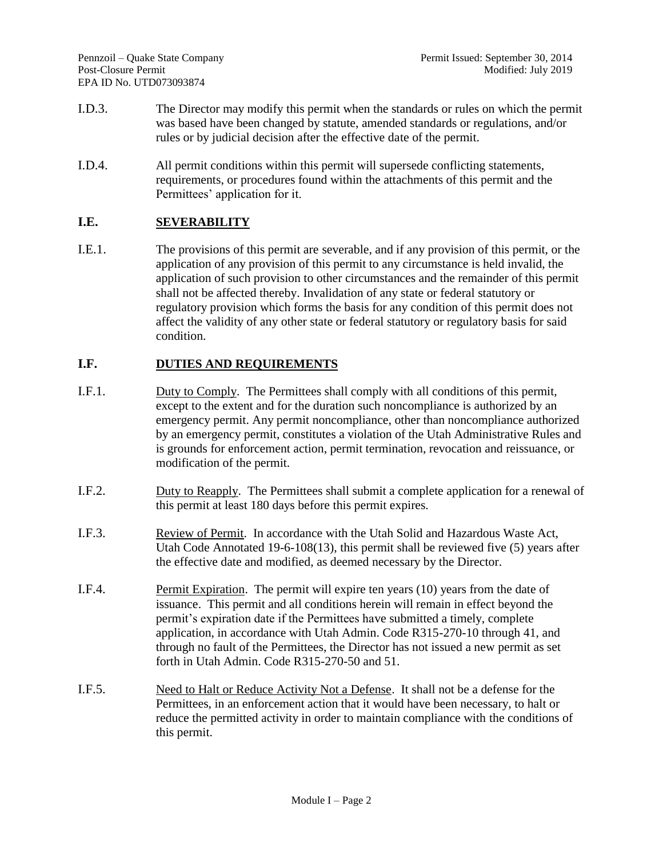- I.D.3. The Director may modify this permit when the standards or rules on which the permit was based have been changed by statute, amended standards or regulations, and/or rules or by judicial decision after the effective date of the permit.
- I.D.4. All permit conditions within this permit will supersede conflicting statements, requirements, or procedures found within the attachments of this permit and the Permittees' application for it.

# **I.E. SEVERABILITY**

I.E.1. The provisions of this permit are severable, and if any provision of this permit, or the application of any provision of this permit to any circumstance is held invalid, the application of such provision to other circumstances and the remainder of this permit shall not be affected thereby. Invalidation of any state or federal statutory or regulatory provision which forms the basis for any condition of this permit does not affect the validity of any other state or federal statutory or regulatory basis for said condition.

### **I.F. DUTIES AND REQUIREMENTS**

- I.F.1. Duty to Comply. The Permittees shall comply with all conditions of this permit, except to the extent and for the duration such noncompliance is authorized by an emergency permit. Any permit noncompliance, other than noncompliance authorized by an emergency permit, constitutes a violation of the Utah Administrative Rules and is grounds for enforcement action, permit termination, revocation and reissuance, or modification of the permit.
- I.F.2. Duty to Reapply. The Permittees shall submit a complete application for a renewal of this permit at least 180 days before this permit expires.
- I.F.3. Review of Permit. In accordance with the Utah Solid and Hazardous Waste Act, Utah Code Annotated 19-6-108(13), this permit shall be reviewed five (5) years after the effective date and modified, as deemed necessary by the Director.
- I.F.4. Permit Expiration. The permit will expire ten years (10) years from the date of issuance. This permit and all conditions herein will remain in effect beyond the permit's expiration date if the Permittees have submitted a timely, complete application, in accordance with Utah Admin. Code R315-270-10 through 41, and through no fault of the Permittees, the Director has not issued a new permit as set forth in Utah Admin. Code R315-270-50 and 51.
- I.F.5. Need to Halt or Reduce Activity Not a Defense. It shall not be a defense for the Permittees, in an enforcement action that it would have been necessary, to halt or reduce the permitted activity in order to maintain compliance with the conditions of this permit.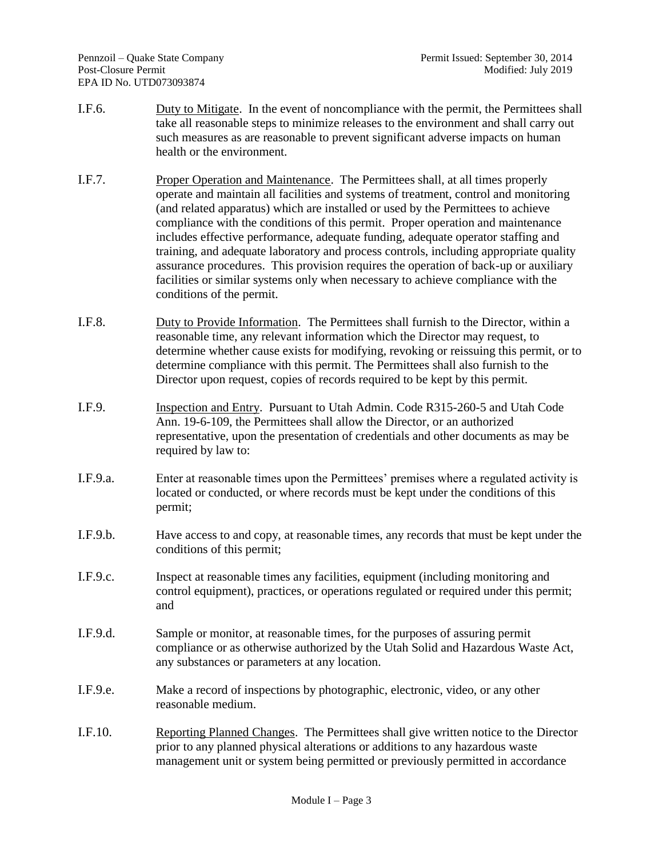- I.F.6. Duty to Mitigate. In the event of noncompliance with the permit, the Permittees shall take all reasonable steps to minimize releases to the environment and shall carry out such measures as are reasonable to prevent significant adverse impacts on human health or the environment.
- I.F.7. Proper Operation and Maintenance. The Permittees shall, at all times properly operate and maintain all facilities and systems of treatment, control and monitoring (and related apparatus) which are installed or used by the Permittees to achieve compliance with the conditions of this permit. Proper operation and maintenance includes effective performance, adequate funding, adequate operator staffing and training, and adequate laboratory and process controls, including appropriate quality assurance procedures. This provision requires the operation of back-up or auxiliary facilities or similar systems only when necessary to achieve compliance with the conditions of the permit.
- I.F.8. Duty to Provide Information. The Permittees shall furnish to the Director, within a reasonable time, any relevant information which the Director may request, to determine whether cause exists for modifying, revoking or reissuing this permit, or to determine compliance with this permit. The Permittees shall also furnish to the Director upon request, copies of records required to be kept by this permit.
- I.F.9. Inspection and Entry. Pursuant to Utah Admin. Code R315-260-5 and Utah Code Ann. 19-6-109, the Permittees shall allow the Director, or an authorized representative, upon the presentation of credentials and other documents as may be required by law to:
- I.F.9.a. Enter at reasonable times upon the Permittees' premises where a regulated activity is located or conducted, or where records must be kept under the conditions of this permit;
- I.F.9.b. Have access to and copy, at reasonable times, any records that must be kept under the conditions of this permit;
- I.F.9.c. Inspect at reasonable times any facilities, equipment (including monitoring and control equipment), practices, or operations regulated or required under this permit; and
- I.F.9.d. Sample or monitor, at reasonable times, for the purposes of assuring permit compliance or as otherwise authorized by the Utah Solid and Hazardous Waste Act, any substances or parameters at any location.
- I.F.9.e. Make a record of inspections by photographic, electronic, video, or any other reasonable medium.
- I.F.10. Reporting Planned Changes. The Permittees shall give written notice to the Director prior to any planned physical alterations or additions to any hazardous waste management unit or system being permitted or previously permitted in accordance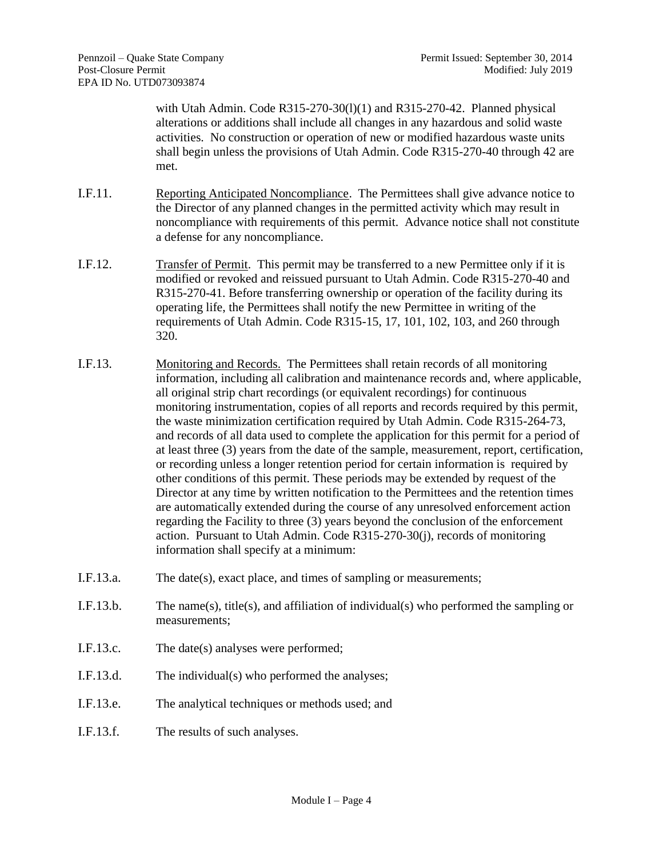with Utah Admin. Code  $R315-270-30(1)(1)$  and  $R315-270-42$ . Planned physical alterations or additions shall include all changes in any hazardous and solid waste activities. No construction or operation of new or modified hazardous waste units shall begin unless the provisions of Utah Admin. Code R315-270-40 through 42 are met.

- I.F.11. Reporting Anticipated Noncompliance. The Permittees shall give advance notice to the Director of any planned changes in the permitted activity which may result in noncompliance with requirements of this permit. Advance notice shall not constitute a defense for any noncompliance.
- I.F.12. Transfer of Permit. This permit may be transferred to a new Permittee only if it is modified or revoked and reissued pursuant to Utah Admin. Code R315-270-40 and R315-270-41. Before transferring ownership or operation of the facility during its operating life, the Permittees shall notify the new Permittee in writing of the requirements of Utah Admin. Code R315-15, 17, 101, 102, 103, and 260 through 320.
- I.F.13. Monitoring and Records. The Permittees shall retain records of all monitoring information, including all calibration and maintenance records and, where applicable, all original strip chart recordings (or equivalent recordings) for continuous monitoring instrumentation, copies of all reports and records required by this permit, the waste minimization certification required by Utah Admin. Code R315-264-73, and records of all data used to complete the application for this permit for a period of at least three (3) years from the date of the sample, measurement, report, certification, or recording unless a longer retention period for certain information is required by other conditions of this permit. These periods may be extended by request of the Director at any time by written notification to the Permittees and the retention times are automatically extended during the course of any unresolved enforcement action regarding the Facility to three (3) years beyond the conclusion of the enforcement action. Pursuant to Utah Admin. Code R315-270-30(j), records of monitoring information shall specify at a minimum:
- I.F.13.a. The date(s), exact place, and times of sampling or measurements;
- I.F.13.b. The name(s), title(s), and affiliation of individual(s) who performed the sampling or measurements;
- I.F.13.c. The date(s) analyses were performed;
- I.F.13.d. The individual(s) who performed the analyses;
- I.F.13.e. The analytical techniques or methods used; and
- I.F.13.f. The results of such analyses.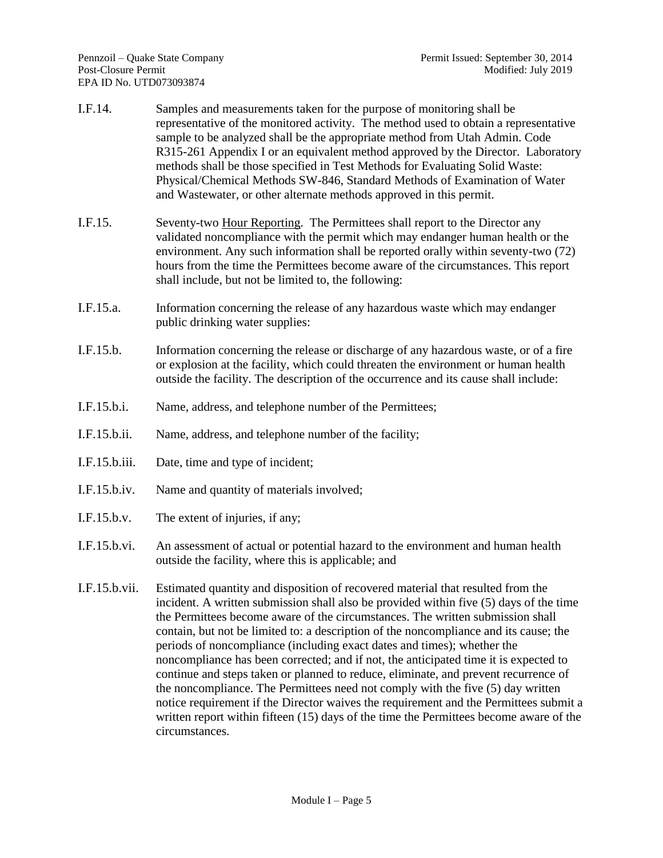- I.F.14. Samples and measurements taken for the purpose of monitoring shall be representative of the monitored activity. The method used to obtain a representative sample to be analyzed shall be the appropriate method from Utah Admin. Code R315-261 Appendix I or an equivalent method approved by the Director. Laboratory methods shall be those specified in Test Methods for Evaluating Solid Waste: Physical/Chemical Methods SW-846, Standard Methods of Examination of Water and Wastewater*,* or other alternate methods approved in this permit.
- I.F.15. Seventy-two Hour Reporting. The Permittees shall report to the Director any validated noncompliance with the permit which may endanger human health or the environment. Any such information shall be reported orally within seventy-two (72) hours from the time the Permittees become aware of the circumstances. This report shall include, but not be limited to, the following:
- I.F.15.a. Information concerning the release of any hazardous waste which may endanger public drinking water supplies:
- I.F.15.b. Information concerning the release or discharge of any hazardous waste, or of a fire or explosion at the facility, which could threaten the environment or human health outside the facility. The description of the occurrence and its cause shall include:
- I.F.15.b.i. Name, address, and telephone number of the Permittees;
- I.F.15.b.ii. Name, address, and telephone number of the facility;
- I.F.15.b.iii. Date, time and type of incident;
- I.F.15.b.iv. Name and quantity of materials involved;
- I.F.15.b.v. The extent of injuries, if any;
- I.F.15.b.vi. An assessment of actual or potential hazard to the environment and human health outside the facility, where this is applicable; and
- I.F.15.b.vii. Estimated quantity and disposition of recovered material that resulted from the incident. A written submission shall also be provided within five (5) days of the time the Permittees become aware of the circumstances. The written submission shall contain, but not be limited to: a description of the noncompliance and its cause; the periods of noncompliance (including exact dates and times); whether the noncompliance has been corrected; and if not, the anticipated time it is expected to continue and steps taken or planned to reduce, eliminate, and prevent recurrence of the noncompliance. The Permittees need not comply with the five (5) day written notice requirement if the Director waives the requirement and the Permittees submit a written report within fifteen (15) days of the time the Permittees become aware of the circumstances.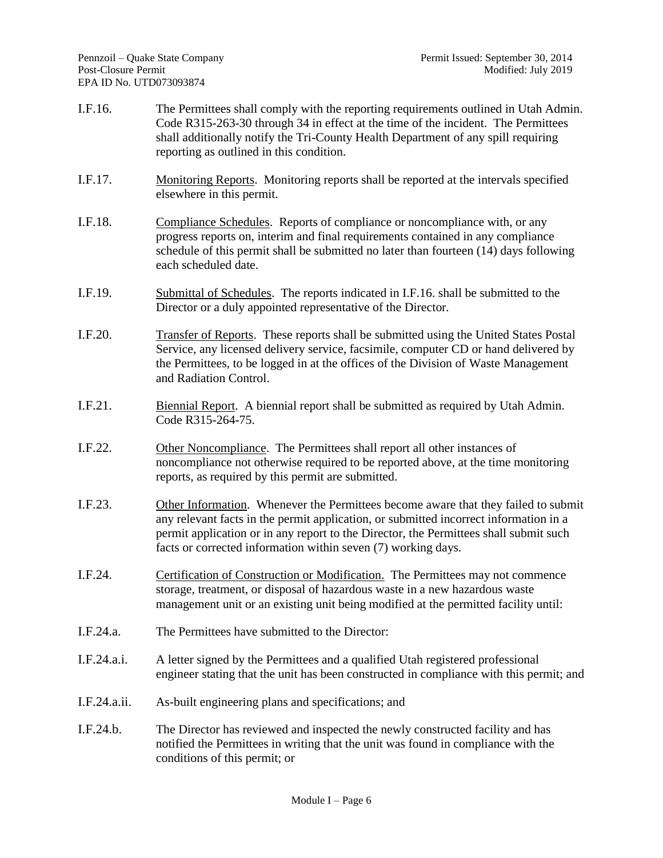- I.F.16. The Permittees shall comply with the reporting requirements outlined in Utah Admin. Code R315-263-30 through 34 in effect at the time of the incident. The Permittees shall additionally notify the Tri-County Health Department of any spill requiring reporting as outlined in this condition.
- I.F.17. Monitoring Reports. Monitoring reports shall be reported at the intervals specified elsewhere in this permit.
- I.F.18. Compliance Schedules. Reports of compliance or noncompliance with, or any progress reports on, interim and final requirements contained in any compliance schedule of this permit shall be submitted no later than fourteen (14) days following each scheduled date.
- I.F.19. Submittal of Schedules. The reports indicated in I.F.16. shall be submitted to the Director or a duly appointed representative of the Director.
- I.F.20. Transfer of Reports. These reports shall be submitted using the United States Postal Service, any licensed delivery service, facsimile, computer CD or hand delivered by the Permittees, to be logged in at the offices of the Division of Waste Management and Radiation Control.
- I.F.21. Biennial Report. A biennial report shall be submitted as required by Utah Admin. Code R315-264-75.
- I.F.22. Other Noncompliance. The Permittees shall report all other instances of noncompliance not otherwise required to be reported above, at the time monitoring reports, as required by this permit are submitted.
- I.F.23. Other Information. Whenever the Permittees become aware that they failed to submit any relevant facts in the permit application, or submitted incorrect information in a permit application or in any report to the Director, the Permittees shall submit such facts or corrected information within seven (7) working days.
- I.F.24. Certification of Construction or Modification. The Permittees may not commence storage, treatment, or disposal of hazardous waste in a new hazardous waste management unit or an existing unit being modified at the permitted facility until:
- I.F.24.a. The Permittees have submitted to the Director:
- I.F.24.a.i. A letter signed by the Permittees and a qualified Utah registered professional engineer stating that the unit has been constructed in compliance with this permit; and
- I.F.24.a.ii. As-built engineering plans and specifications; and
- I.F.24.b. The Director has reviewed and inspected the newly constructed facility and has notified the Permittees in writing that the unit was found in compliance with the conditions of this permit; or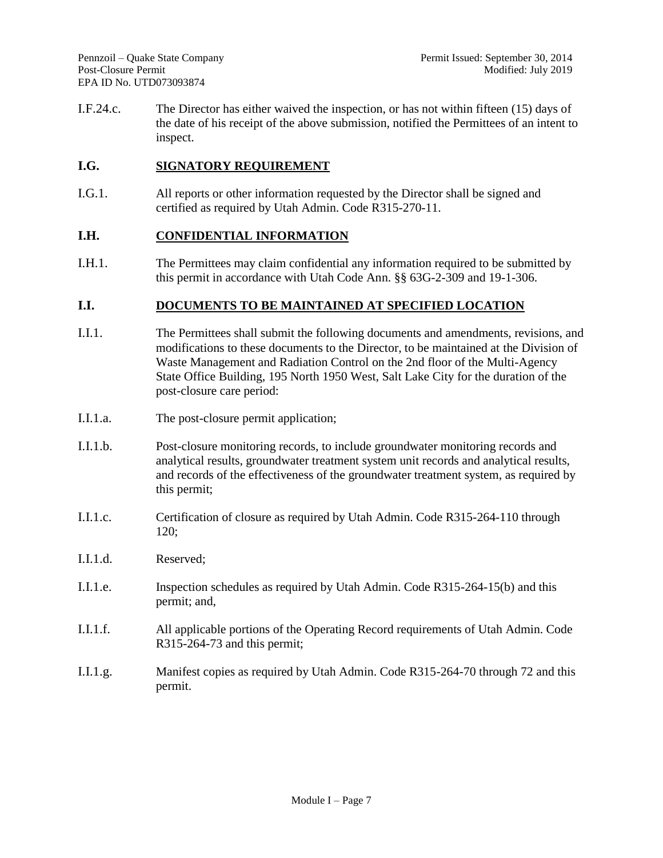I.F.24.c. The Director has either waived the inspection, or has not within fifteen (15) days of the date of his receipt of the above submission, notified the Permittees of an intent to inspect.

#### **I.G. SIGNATORY REQUIREMENT**

I.G.1. All reports or other information requested by the Director shall be signed and certified as required by Utah Admin. Code R315-270-11.

#### **I.H. CONFIDENTIAL INFORMATION**

I.H.1. The Permittees may claim confidential any information required to be submitted by this permit in accordance with Utah Code Ann. §§ 63G-2-309 and 19-1-306.

#### **I.I. DOCUMENTS TO BE MAINTAINED AT SPECIFIED LOCATION**

- I.I.1. The Permittees shall submit the following documents and amendments, revisions, and modifications to these documents to the Director, to be maintained at the Division of Waste Management and Radiation Control on the 2nd floor of the Multi-Agency State Office Building, 195 North 1950 West, Salt Lake City for the duration of the post-closure care period:
- I.I.1.a. The post-closure permit application;
- I.I.1.b. Post-closure monitoring records, to include groundwater monitoring records and analytical results, groundwater treatment system unit records and analytical results, and records of the effectiveness of the groundwater treatment system, as required by this permit;
- I.I.1.c. Certification of closure as required by Utah Admin. Code R315-264-110 through 120;
- I.I.1.d. Reserved;
- I.I.1.e. Inspection schedules as required by Utah Admin. Code R315-264-15(b) and this permit; and,
- I.I.1.f. All applicable portions of the Operating Record requirements of Utah Admin. Code R315-264-73 and this permit;
- I.I.1.g. Manifest copies as required by Utah Admin. Code R315-264-70 through 72 and this permit.